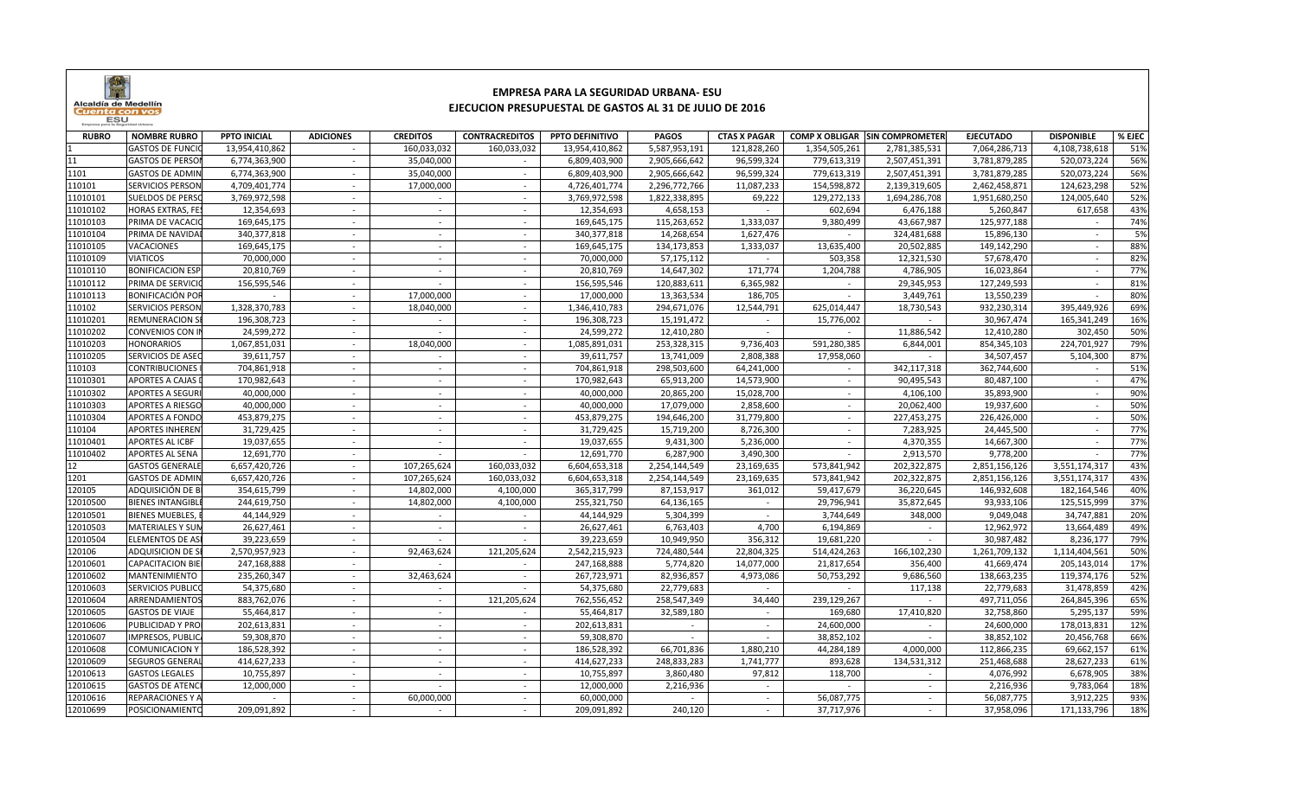

## **EMPRESA PARA LA SEGURIDAD URBANA- ESUEJECUCION PRESUPUESTAL DE GASTOS AL 31 DE JULIO DE 2016**

| <b>RUBRO</b> | <b>NOMBRE RUBRO</b>     | <b>PPTO INICIAL</b> | <b>ADICIONES</b>         | <b>CREDITOS</b> | <b>CONTRACREDITOS</b> | PPTO DEFINITIVO | <b>PAGOS</b>  | <b>CTAS X PAGAR</b>      |               | <b>COMP X OBLIGAR SIN COMPROMETER</b> | <b>EJECUTADO</b> | <b>DISPONIBLE</b> | % EJEC |
|--------------|-------------------------|---------------------|--------------------------|-----------------|-----------------------|-----------------|---------------|--------------------------|---------------|---------------------------------------|------------------|-------------------|--------|
|              | <b>GASTOS DE FUNCI</b>  | 13,954,410,862      | $\sim$                   | 160,033,032     | 160,033,032           | 13,954,410,862  | 5,587,953,191 | 121,828,260              | 1,354,505,261 | 2,781,385,531                         | 7,064,286,713    | 4,108,738,618     | 51%    |
| 11           | <b>GASTOS DE PERSO</b>  | 6,774,363,900       |                          | 35,040,000      |                       | 6,809,403,900   | 2,905,666,642 | 96,599,324               | 779,613,319   | 2,507,451,391                         | 3,781,879,285    | 520,073,224       | 56%    |
| 1101         | <b>GASTOS DE ADMIN</b>  | 6,774,363,900       | $\sim$                   | 35,040,000      | $\sim$                | 6,809,403,900   | 2,905,666,642 | 96,599,324               | 779,613,319   | 2,507,451,391                         | 3,781,879,285    | 520,073,224       | 56%    |
| 110101       | <b>SERVICIOS PERSON</b> | 4,709,401,774       | $\sim$                   | 17,000,000      | $\sim$                | 4,726,401,774   | 2,296,772,766 | 11,087,233               | 154,598,872   | 2,139,319,605                         | 2,462,458,871    | 124,623,298       | 52%    |
| 11010101     | <b>SUELDOS DE PERSO</b> | 3,769,972,598       | $\sim$                   | $\sim$          | $\sim$                | 3,769,972,598   | 1,822,338,895 | 69,222                   | 129,272,133   | 1,694,286,708                         | 1,951,680,250    | 124,005,640       | 52%    |
| 11010102     | <b>HORAS EXTRAS, FE</b> | 12,354,693          |                          |                 |                       | 12,354,693      | 4,658,153     |                          | 602,694       | 6,476,188                             | 5,260,847        | 617,658           | 43%    |
| 11010103     | PRIMA DE VACACI         | 169,645,175         |                          |                 |                       | 169,645,175     | 115,263,652   | 1,333,037                | 9,380,499     | 43,667,987                            | 125,977,188      | $\sim$            | 74%    |
| 11010104     | PRIMA DE NAVIDA         | 340,377,818         | $\sim$                   | $\sim$          |                       | 340,377,818     | 14,268,654    | 1,627,476                |               | 324,481,688                           | 15,896,130       | $\sim$            | 5%     |
| 11010105     | <b>VACACIONES</b>       | 169,645,175         |                          |                 |                       | 169,645,175     | 134,173,853   | 1,333,037                | 13,635,400    | 20,502,885                            | 149,142,290      |                   | 88%    |
| 11010109     | <b>VIATICOS</b>         | 70,000,000          |                          |                 |                       | 70,000,000      | 57,175,112    |                          | 503,358       | 12,321,530                            | 57,678,470       |                   | 82%    |
| 11010110     | <b>BONIFICACION ESP</b> | 20,810,769          |                          |                 |                       | 20,810,769      | 14,647,302    | 171,774                  | 1,204,788     | 4,786,905                             | 16,023,864       |                   | 77%    |
| 11010112     | PRIMA DE SERVICI        | 156,595,546         | $\sim$                   | $\sim$          | $\sim$                | 156,595,546     | 120,883,611   | 6,365,982                | $\sim$        | 29,345,953                            | 127,249,593      | $\sim$            | 81%    |
| 11010113     | <b>BONIFICACIÓN POI</b> | $\sim$              | $\sim$                   | 17,000,000      | $\sim$                | 17,000,000      | 13,363,534    | 186,705                  | $\sim$        | 3,449,761                             | 13,550,239       | $\sim$            | 80%    |
| 110102       | <b>SERVICIOS PERSON</b> | 1,328,370,783       | $\sim$                   | 18,040,000      | $\sim$                | 1,346,410,783   | 294,671,076   | 12,544,791               | 625,014,447   | 18,730,543                            | 932,230,314      | 395,449,926       | 69%    |
| 11010201     | <b>REMUNERACION S</b>   | 196,308,723         | $\sim$                   | $\sim$          |                       | 196,308,723     | 15,191,472    | $\sim$                   | 15,776,002    | $\sim$                                | 30,967,474       | 165,341,249       | 16%    |
| 11010202     | <b>CONVENIOS CON I</b>  | 24,599,272          | $\sim$                   |                 |                       | 24,599,272      | 12,410,280    | $\sim$                   |               | 11,886,542                            | 12,410,280       | 302,450           | 50%    |
| 11010203     | <b>HONORARIOS</b>       | 1,067,851,031       | $\blacksquare$           | 18,040,000      | $\sim$                | 1,085,891,031   | 253,328,315   | 9,736,403                | 591,280,385   | 6,844,001                             | 854,345,103      | 224,701,927       | 79%    |
| 11010205     | SERVICIOS DE ASE        | 39,611,757          |                          |                 |                       | 39,611,757      | 13,741,009    | 2,808,388                | 17,958,060    |                                       | 34,507,457       | 5,104,300         | 87%    |
| 110103       | <b>CONTRIBUCIONES</b>   | 704,861,918         | $\sim$                   | $\sim$          |                       | 704,861,918     | 298,503,600   | 64,241,000               |               | 342,117,318                           | 362,744,600      | $\sim$            | 51%    |
| 11010301     | <b>APORTES A CAJAS</b>  | 170,982,643         |                          |                 |                       | 170,982,643     | 65,913,200    | 14,573,900               |               | 90,495,543                            | 80,487,100       |                   | 47%    |
| 11010302     | <b>APORTES A SEGUF</b>  | 40,000,000          | $\sim$                   | $\sim$          | $\sim$                | 40,000,000      | 20,865,200    | 15,028,700               | $\sim$        | 4,106,100                             | 35,893,900       | $\sim$            | 90%    |
| 11010303     | <b>APORTES A RIESGO</b> | 40,000,000          |                          |                 |                       | 40,000,000      | 17,079,000    | 2,858,600                | $\sim$        | 20,062,400                            | 19,937,600       |                   | 50%    |
| 11010304     | <b>APORTES A FONDO</b>  | 453,879,275         | $\sim$                   | $\sim$          | $\sim$                | 453,879,275     | 194,646,200   | 31,779,800               | $\sim$        | 227,453,275                           | 226,426,000      | $\sim$            | 50%    |
| 110104       | <b>APORTES INHEREN</b>  | 31,729,425          |                          | $\sim$          |                       | 31,729,425      | 15,719,200    | 8,726,300                | $\sim$        | 7,283,925                             | 24,445,500       | $\sim$            | 77%    |
| 11010401     | <b>APORTES AL ICBF</b>  | 19,037,655          | $\sim$                   | $\sim$          | $\sim$                | 19,037,655      | 9,431,300     | 5,236,000                | $\sim$        | 4,370,355                             | 14,667,300       | $\sim$            | 77%    |
| 11010402     | <b>APORTES AL SENA</b>  | 12,691,770          | $\overline{\phantom{a}}$ |                 |                       | 12,691,770      | 6,287,900     | 3,490,300                |               | 2,913,570                             | 9,778,200        |                   | 77%    |
| 12           | <b>GASTOS GENERALI</b>  | 6,657,420,726       | $\sim$                   | 107,265,624     | 160,033,032           | 6,604,653,318   | 2,254,144,549 | 23,169,635               | 573,841,942   | 202,322,875                           | 2,851,156,126    | 3,551,174,317     | 43%    |
| 1201         | <b>GASTOS DE ADMIN</b>  | 6,657,420,726       |                          | 107,265,624     | 160,033,032           | 6,604,653,318   | 2,254,144,549 | 23,169,635               | 573,841,942   | 202,322,875                           | 2,851,156,126    | 3,551,174,317     | 43%    |
| 120105       | ADQUISICIÓN DE E        | 354,615,799         |                          | 14,802,000      | 4,100,000             | 365,317,799     | 87,153,917    | 361,012                  | 59,417,679    | 36,220,645                            | 146,932,608      | 182,164,546       | 40%    |
| 12010500     | <b>BIENES INTANGIBL</b> | 244,619,750         | $\sim$                   | 14,802,000      | 4,100,000             | 255,321,750     | 64,136,165    | $\overline{\phantom{a}}$ | 29,796,941    | 35,872,645                            | 93,933,106       | 125,515,999       | 37%    |
| 12010501     | <b>BIENES MUEBLES,</b>  | 44,144,929          |                          |                 |                       | 44,144,929      | 5,304,399     | ÷.                       | 3,744,649     | 348,000                               | 9,049,048        | 34,747,881        | 20%    |
| 12010503     | <b>MATERIALES Y SUN</b> | 26,627,461          | $\sim$                   | $\sim$          | $\sim$                | 26,627,461      | 6,763,403     | 4,700                    | 6,194,869     | $\sim$                                | 12,962,972       | 13,664,489        | 49%    |
| 12010504     | <b>ELEMENTOS DE AS</b>  | 39,223,659          | $\sim$                   | $\sim$          |                       | 39,223,659      | 10,949,950    | 356,312                  | 19,681,220    | $\sim$                                | 30,987,482       | 8,236,177         | 79%    |
| 120106       | <b>ADQUISICION DE S</b> | 2,570,957,923       | $\sim$                   | 92,463,624      | 121,205,624           | 2,542,215,923   | 724,480,544   | 22,804,325               | 514,424,263   | 166,102,230                           | 1,261,709,132    | 1,114,404,561     | 50%    |
| 12010601     | <b>CAPACITACION BIE</b> | 247,168,888         | $\sim$                   |                 |                       | 247,168,888     | 5,774,820     | 14,077,000               | 21,817,654    | 356,400                               | 41,669,474       | 205,143,014       | 17%    |
| 12010602     | MANTENIMIENTO           | 235,260,347         |                          | 32,463,624      |                       | 267,723,971     | 82,936,857    | 4,973,086                | 50,753,292    | 9,686,560                             | 138,663,235      | 119,374,176       | 52%    |
| 12010603     | <b>SERVICIOS PUBLIC</b> | 54,375,680          | $\sim$                   |                 |                       | 54,375,680      | 22,779,683    |                          |               | 117,138                               | 22,779,683       | 31,478,859        | 42%    |
| 12010604     | ARRENDAMIENTO           | 883,762,076         |                          |                 | 121,205,624           | 762,556,452     | 258,547,349   | 34,440                   | 239,129,267   |                                       | 497,711,056      | 264,845,396       | 65%    |
| 12010605     | <b>GASTOS DE VIAJE</b>  | 55,464,817          |                          |                 |                       | 55,464,817      | 32,589,180    | $\overline{\phantom{a}}$ | 169,680       | 17,410,820                            | 32,758,860       | 5,295,137         | 59%    |
| 12010606     | PUBLICIDAD Y PRC        | 202,613,831         |                          |                 |                       | 202,613,831     | $\sim$        | $\sim$                   | 24,600,000    |                                       | 24,600,000       | 178,013,831       | 12%    |
| 12010607     | IMPRESOS, PUBLI         | 59,308,870          | $\sim$                   | $\sim$          | $\sim$                | 59,308,870      | $\sim$        | $\overline{\phantom{a}}$ | 38,852,102    |                                       | 38,852,102       | 20,456,768        | 66%    |
| 12010608     | <b>COMUNICACION Y</b>   | 186,528,392         |                          | $\sim$          |                       | 186,528,392     | 66,701,836    | 1,880,210                | 44,284,189    | 4,000,000                             | 112,866,235      | 69,662,157        | 61%    |
| 12010609     | <b>SEGUROS GENERA</b>   | 414,627,233         | $\sim$                   | $\sim$          | $\sim$                | 414,627,233     | 248,833,283   | 1,741,777                | 893,628       | 134,531,312                           | 251,468,688      | 28,627,233        | 61%    |
| 12010613     | <b>GASTOS LEGALES</b>   | 10,755,897          | $\sim$                   | $\sim$          |                       | 10,755,897      | 3,860,480     | 97,812                   | 118,700       | $\sim$                                | 4,076,992        | 6,678,905         | 38%    |
| 12010615     | <b>GASTOS DE ATENO</b>  | 12,000,000          |                          |                 |                       | 12,000,000      | 2,216,936     | $\sim$                   |               |                                       | 2,216,936        | 9,783,064         | 18%    |
| 12010616     | <b>REPARACIONES Y /</b> |                     | $\sim$                   | 60,000,000      |                       | 60,000,000      |               | $\overline{\phantom{a}}$ | 56,087,775    |                                       | 56,087,775       | 3,912,225         | 93%    |
| 12010699     | POSICIONAMIENTO         | 209,091,892         |                          |                 |                       | 209,091,892     | 240,120       | $\sim$                   | 37,717,976    |                                       | 37,958,096       | 171,133,796       | 18%    |